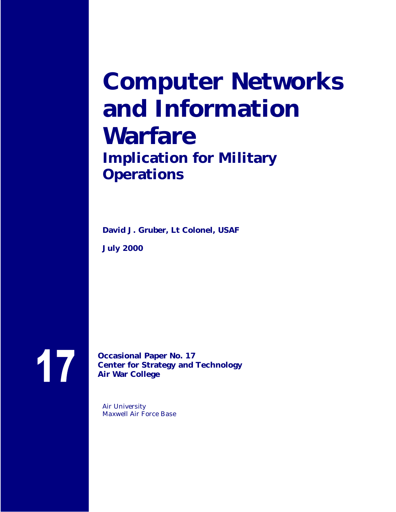# **Computer Networks and Information Warfare Implication for Military Operations**

**David J. Gruber, Lt Colonel, USAF**

**July 2000**

17

**Occasional Paper No. 17 Center for Strategy and Technology Air War College**

Air University Maxwell Air Force Base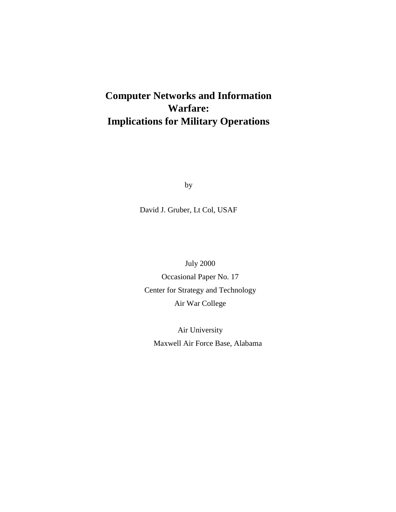# **Computer Networks and Information Warfare: Implications for Military Operations**

by

David J. Gruber, Lt Col, USAF

July 2000 Occasional Paper No. 17 Center for Strategy and Technology Air War College

Air University Maxwell Air Force Base, Alabama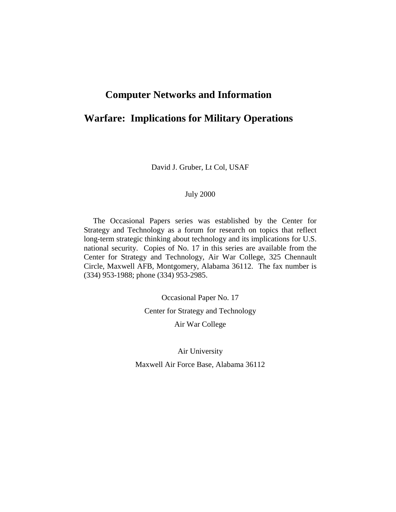# **Computer Networks and Information**

# **Warfare: Implications for Military Operations**

David J. Gruber, Lt Col, USAF

#### July 2000

The Occasional Papers series was established by the Center for Strategy and Technology as a forum for research on topics that reflect long-term strategic thinking about technology and its implications for U.S. national security. Copies of No. 17 in this series are available from the Center for Strategy and Technology, Air War College, 325 Chennault Circle, Maxwell AFB, Montgomery, Alabama 36112. The fax number is (334) 953-1988; phone (334) 953-2985.

> Occasional Paper No. 17 Center for Strategy and Technology Air War College

Air University Maxwell Air Force Base, Alabama 36112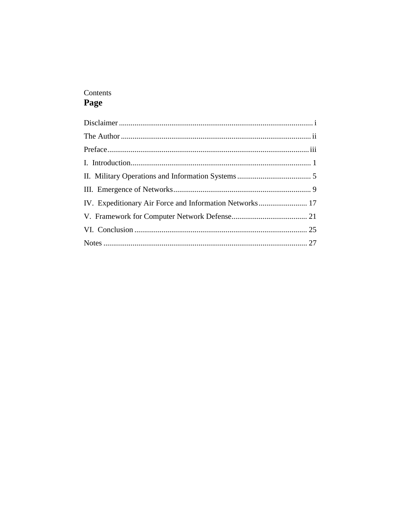# Contents Page

| IV. Expeditionary Air Force and Information Networks 17 |  |
|---------------------------------------------------------|--|
|                                                         |  |
|                                                         |  |
|                                                         |  |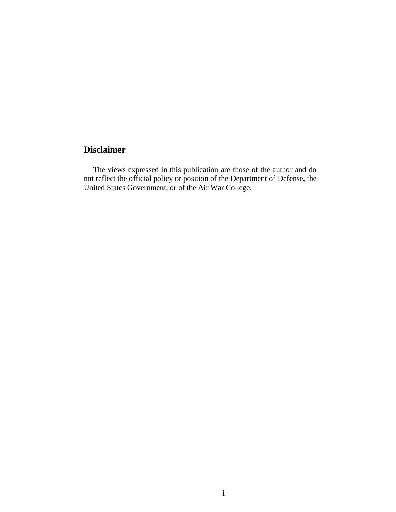# **Disclaimer**

The views expressed in this publication are those of the author and do not reflect the official policy or position of the Department of Defense, the United States Government, or of the Air War College.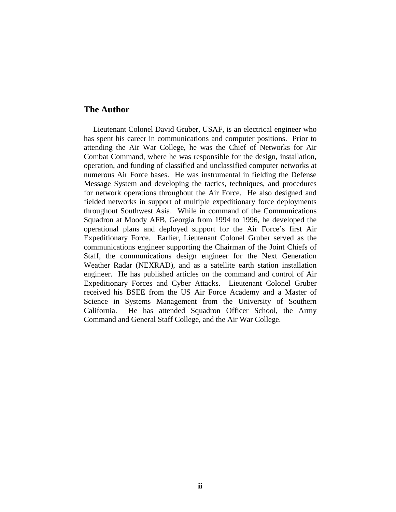#### **The Author**

Lieutenant Colonel David Gruber, USAF, is an electrical engineer who has spent his career in communications and computer positions. Prior to attending the Air War College, he was the Chief of Networks for Air Combat Command, where he was responsible for the design, installation, operation, and funding of classified and unclassified computer networks at numerous Air Force bases. He was instrumental in fielding the Defense Message System and developing the tactics, techniques, and procedures for network operations throughout the Air Force. He also designed and fielded networks in support of multiple expeditionary force deployments throughout Southwest Asia. While in command of the Communications Squadron at Moody AFB, Georgia from 1994 to 1996, he developed the operational plans and deployed support for the Air Force's first Air Expeditionary Force. Earlier, Lieutenant Colonel Gruber served as the communications engineer supporting the Chairman of the Joint Chiefs of Staff, the communications design engineer for the Next Generation Weather Radar (NEXRAD), and as a satellite earth station installation engineer. He has published articles on the command and control of Air Expeditionary Forces and Cyber Attacks. Lieutenant Colonel Gruber received his BSEE from the US Air Force Academy and a Master of Science in Systems Management from the University of Southern California. He has attended Squadron Officer School, the Army Command and General Staff College, and the Air War College.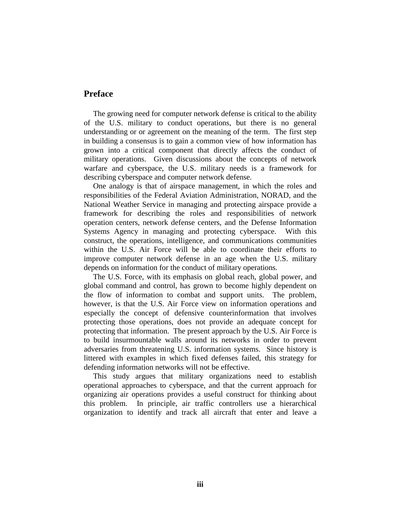#### **Preface**

The growing need for computer network defense is critical to the ability of the U.S. military to conduct operations, but there is no general understanding or or agreement on the meaning of the term. The first step in building a consensus is to gain a common view of how information has grown into a critical component that directly affects the conduct of military operations. Given discussions about the concepts of network warfare and cyberspace, the U.S. military needs is a framework for describing cyberspace and computer network defense.

One analogy is that of airspace management, in which the roles and responsibilities of the Federal Aviation Administration, NORAD, and the National Weather Service in managing and protecting airspace provide a framework for describing the roles and responsibilities of network operation centers, network defense centers, and the Defense Information Systems Agency in managing and protecting cyberspace. With this construct, the operations, intelligence, and communications communities within the U.S. Air Force will be able to coordinate their efforts to improve computer network defense in an age when the U.S. military depends on information for the conduct of military operations.

The U.S. Force, with its emphasis on global reach, global power, and global command and control, has grown to become highly dependent on the flow of information to combat and support units. The problem, however, is that the U.S. Air Force view on information operations and especially the concept of defensive counterinformation that involves protecting those operations, does not provide an adequate concept for protecting that information. The present approach by the U.S. Air Force is to build insurmountable walls around its networks in order to prevent adversaries from threatening U.S. information systems. Since history is littered with examples in which fixed defenses failed, this strategy for defending information networks will not be effective.

This study argues that military organizations need to establish operational approaches to cyberspace, and that the current approach for organizing air operations provides a useful construct for thinking about this problem. In principle, air traffic controllers use a hierarchical organization to identify and track all aircraft that enter and leave a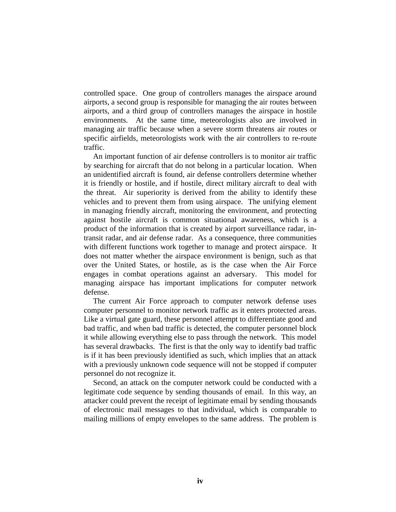controlled space. One group of controllers manages the airspace around airports, a second group is responsible for managing the air routes between airports, and a third group of controllers manages the airspace in hostile environments. At the same time, meteorologists also are involved in managing air traffic because when a severe storm threatens air routes or specific airfields, meteorologists work with the air controllers to re-route traffic.

An important function of air defense controllers is to monitor air traffic by searching for aircraft that do not belong in a particular location. When an unidentified aircraft is found, air defense controllers determine whether it is friendly or hostile, and if hostile, direct military aircraft to deal with the threat. Air superiority is derived from the ability to identify these vehicles and to prevent them from using airspace. The unifying element in managing friendly aircraft, monitoring the environment, and protecting against hostile aircraft is common situational awareness, which is a product of the information that is created by airport surveillance radar, intransit radar, and air defense radar. As a consequence, three communities with different functions work together to manage and protect airspace. It does not matter whether the airspace environment is benign, such as that over the United States, or hostile, as is the case when the Air Force engages in combat operations against an adversary. This model for managing airspace has important implications for computer network defense.

The current Air Force approach to computer network defense uses computer personnel to monitor network traffic as it enters protected areas. Like a virtual gate guard, these personnel attempt to differentiate good and bad traffic, and when bad traffic is detected, the computer personnel block it while allowing everything else to pass through the network. This model has several drawbacks. The first is that the only way to identify bad traffic is if it has been previously identified as such, which implies that an attack with a previously unknown code sequence will not be stopped if computer personnel do not recognize it.

Second, an attack on the computer network could be conducted with a legitimate code sequence by sending thousands of email. In this way, an attacker could prevent the receipt of legitimate email by sending thousands of electronic mail messages to that individual, which is comparable to mailing millions of empty envelopes to the same address. The problem is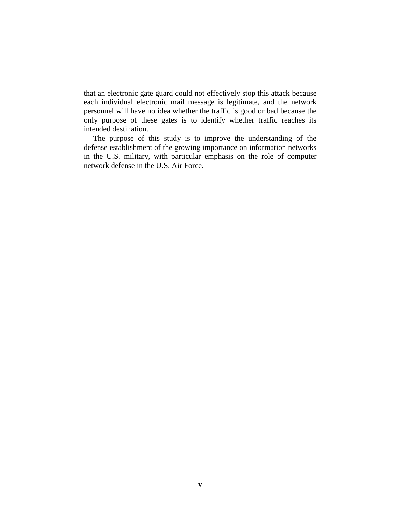that an electronic gate guard could not effectively stop this attack because each individual electronic mail message is legitimate, and the network personnel will have no idea whether the traffic is good or bad because the only purpose of these gates is to identify whether traffic reaches its intended destination.

The purpose of this study is to improve the understanding of the defense establishment of the growing importance on information networks in the U.S. military, with particular emphasis on the role of computer network defense in the U.S. Air Force.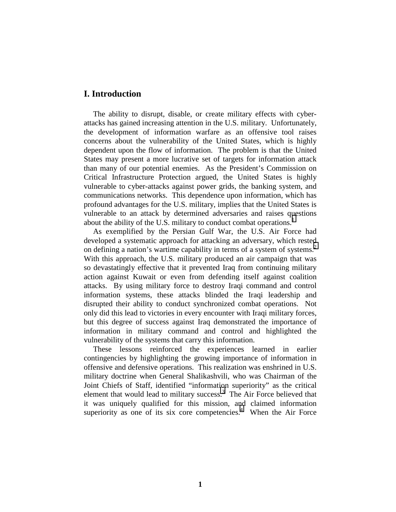#### **I. Introduction**

The ability to disrupt, disable, or create military effects with cyberattacks has gained increasing attention in the U.S. military. Unfortunately, the development of information warfare as an offensive tool raises concerns about the vulnerability of the United States, which is highly dependent upon the flow of information. The problem is that the United States may present a more lucrative set of targets for information attack than many of our potential enemies. As the President's Commission on Critical Infrastructure Protection argued, the United States is highly vulnerable to cyber-attacks against power grids, the banking system, and communications networks. This dependence upon information, which has profound advantages for the U.S. military, implies that the United States is vulnerable to an attack by determined adversaries and raises questions about the ability of the U.S. military to conduct combat operations.<sup>1</sup>

As exemplified by the Persian Gulf War, the U.S. Air Force had developed a systematic approach for attacking an adversary, which rested on defining a nation's wartime capability in terms of a system of systems. [2](#page-38-0)  With this approach, the U.S. military produced an air campaign that was so devastatingly effective that it prevented Iraq from continuing military action against Kuwait or even from defending itself against coalition attacks. By using military force to destroy Iraqi command and control information systems, these attacks blinded the Iraqi leadership and disrupted their ability to conduct synchronized combat operations. Not only did this lead to victories in every encounter with Iraqi military forces, but this degree of success against Iraq demonstrated the importance of information in military command and control and highlighted the vulnerability of the systems that carry this information.

These lessons reinforced the experiences learned in earlier contingencies by highlighting the growing importance of information in offensive and defensive operations. This realization was enshrined in U.S. military doctrine when General Shalikashvili, who was Chairman of the Joint Chiefs of Staff, identified "information superiority" as the critical element that would lead to military success[.3](#page-38-0) The Air Force believed that it was uniquely qualified for this mission, and claimed information superiority as one of its six core competencies.<sup>4</sup> When the Air Force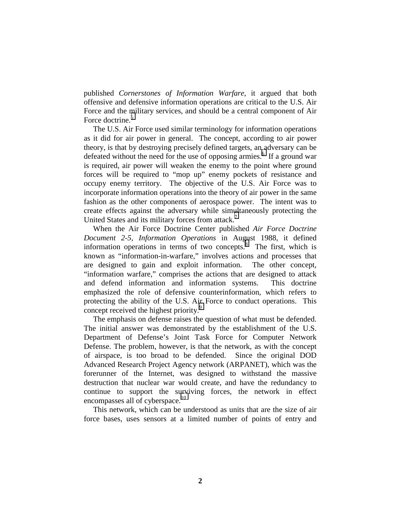published *Cornerstones of Information Warfare*, it argued that both offensive and defensive information operations are critical to the U.S. Air Force and the military services, and should be a central component of Air Force doctrine. [5](#page-38-0) 

The U.S. Air Force used similar terminology for information operations as it did for air power in general. The concept, according to air power theory, is that by destroying precisely defined targets, an adversary can be defeated without the need for the use of opposing armies.<sup>[6](#page-38-0)</sup> If a ground war is required, air power will weaken the enemy to the point where ground forces will be required to "mop up" enemy pockets of resistance and occupy enemy territory. The objective of the U.S. Air Force was to incorporate information operations into the theory of air power in the same fashion as the other components of aerospace power. The intent was to create effects against the adversary while simultaneously protecting the United States and its military forces from attack.<sup>7</sup>

When the Air Force Doctrine Center published *Air Force Doctrine Document 2-5, Information Operations* in August 1988, it defined information operations in terms of two concepts. $\delta$  The first, which is known as "information-in-warfare," involves actions and processes that are designed to gain and exploit information. The other concept, "information warfare," comprises the actions that are designed to attack and defend information and information systems. This doctrine emphasized the role of defensive counterinformation, which refers to protecting the ability of the U.S. Air Force to conduct operations. This concept received the highest priority.<sup>9</sup>

The emphasis on defense raises the question of what must be defended. The initial answer was demonstrated by the establishment of the U.S. Department of Defense's Joint Task Force for Computer Network Defense. The problem, however, is that the network, as with the concept of airspace, is too broad to be defended. Since the original DOD Advanced Research Project Agency network (ARPANET), which was the forerunner of the Internet, was designed to withstand the massive destruction that nuclear war would create, and have the redundancy to continue to support the surviving forces, the network in effect encompasses all of cyberspace. [10](#page-38-0) 

This network, which can be understood as units that are the size of air force bases, uses sensors at a limited number of points of entry and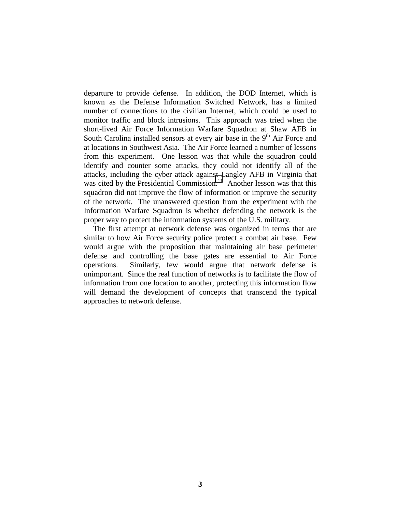departure to provide defense. In addition, the DOD Internet, which is known as the Defense Information Switched Network, has a limited number of connections to the civilian Internet, which could be used to monitor traffic and block intrusions. This approach was tried when the short-lived Air Force Information Warfare Squadron at Shaw AFB in South Carolina installed sensors at every air base in the  $9<sup>th</sup>$  Air Force and at locations in Southwest Asia. The Air Force learned a number of lessons from this experiment. One lesson was that while the squadron could identify and counter some attacks, they could not identify all of the attacks, including the cyber attack against Langley AFB in Virginia that was cited by the Presidential Commission.<sup>11</sup> Another lesson was that this squadron did not improve the flow of information or improve the security of the network. The unanswered question from the experiment with the Information Warfare Squadron is whether defending the network is the proper way to protect the information systems of the U.S. military.

The first attempt at network defense was organized in terms that are similar to how Air Force security police protect a combat air base. Few would argue with the proposition that maintaining air base perimeter defense and controlling the base gates are essential to Air Force operations. Similarly, few would argue that network defense is unimportant. Since the real function of networks is to facilitate the flow of information from one location to another, protecting this information flow will demand the development of concepts that transcend the typical approaches to network defense.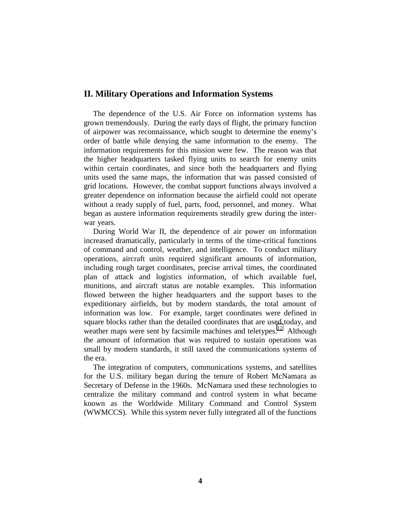#### **II. Military Operations and Information Systems**

The dependence of the U.S. Air Force on information systems has grown tremendously. During the early days of flight, the primary function of airpower was reconnaissance, which sought to determine the enemy's order of battle while denying the same information to the enemy. The information requirements for this mission were few. The reason was that the higher headquarters tasked flying units to search for enemy units within certain coordinates, and since both the headquarters and flying units used the same maps, the information that was passed consisted of grid locations. However, the combat support functions always involved a greater dependence on information because the airfield could not operate without a ready supply of fuel, parts, food, personnel, and money. What began as austere information requirements steadily grew during the interwar years.

During World War II, the dependence of air power on information increased dramatically, particularly in terms of the time-critical functions of command and control, weather, and intelligence. To conduct military operations, aircraft units required significant amounts of information, including rough target coordinates, precise arrival times, the coordinated plan of attack and logistics information, of which available fuel, munitions, and aircraft status are notable examples. This information flowed between the higher headquarters and the support bases to the expeditionary airfields, but by modern standards, the total amount of information was low. For example, target coordinates were defined in square blocks rather than the detailed coordinates that are used today, and weather maps were sent by facsimile machines and teletypes.<sup>[12](#page-38-0)</sup> Although the amount of information that was required to sustain operations was small by modern standards, it still taxed the communications systems of the era.

The integration of computers, communications systems, and satellites for the U.S. military began during the tenure of Robert McNamara as Secretary of Defense in the 1960s. McNamara used these technologies to centralize the military command and control system in what became known as the Worldwide Military Command and Control System (WWMCCS). While this system never fully integrated all of the functions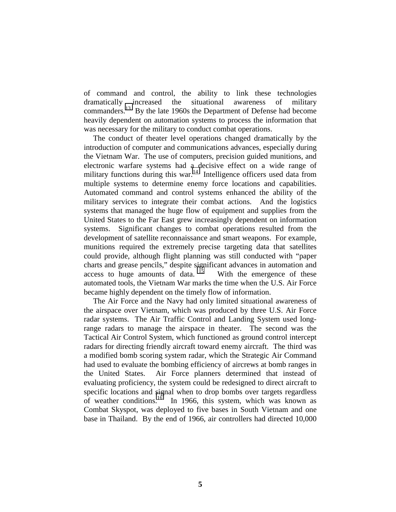of command and control, the ability to link these technologies dramatically increased the situational awareness of military commanders.[13](#page-38-0) By the late 1960s the Department of Defense had become heavily dependent on automation systems to process the information that was necessary for the military to conduct combat operations.

The conduct of theater level operations changed dramatically by the introduction of computer and communications advances, especially during the Vietnam War. The use of computers, precision guided munitions, and electronic warfare systems had a decisive effect on a wide range of military functions during this war.<sup>[14](#page-38-0)</sup> Intelligence officers used data from multiple systems to determine enemy force locations and capabilities. Automated command and control systems enhanced the ability of the military services to integrate their combat actions. And the logistics systems that managed the huge flow of equipment and supplies from the United States to the Far East grew increasingly dependent on information systems. Significant changes to combat operations resulted from the development of satellite reconnaissance and smart weapons. For example, munitions required the extremely precise targeting data that satellites could provide, although flight planning was still conducted with "paper charts and grease pencils," despite significant advances in automation and access to huge amounts of data.  $15$  With the emergence of these automated tools, the Vietnam War marks the time when the U.S. Air Force became highly dependent on the timely flow of information.

The Air Force and the Navy had only limited situational awareness of the airspace over Vietnam, which was produced by three U.S. Air Force radar systems. The Air Traffic Control and Landing System used longrange radars to manage the airspace in theater. The second was the Tactical Air Control System, which functioned as ground control intercept radars for directing friendly aircraft toward enemy aircraft. The third was a modified bomb scoring system radar, which the Strategic Air Command had used to evaluate the bombing efficiency of aircrews at bomb ranges in the United States. Air Force planners determined that instead of evaluating proficiency, the system could be redesigned to direct aircraft to specific locations and signal when to drop bombs over targets regardless of weather conditions.<sup>16</sup> In 1966, this system, which was known as Combat Skyspot, was deployed to five bases in South Vietnam and one base in Thailand. By the end of 1966, air controllers had directed 10,000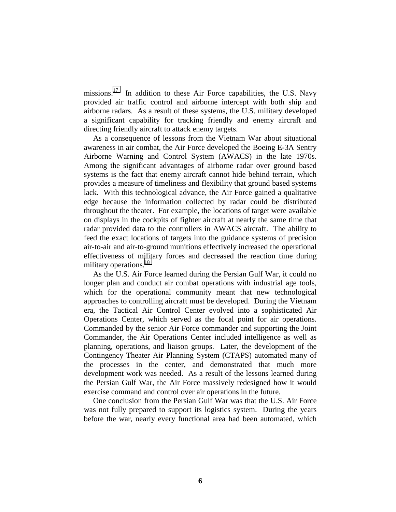missions.<sup>17</sup> In addition to these Air Force capabilities, the U.S. Navy provided air traffic control and airborne intercept with both ship and airborne radars. As a result of these systems, the U.S. military developed a significant capability for tracking friendly and enemy aircraft and directing friendly aircraft to attack enemy targets.

As a consequence of lessons from the Vietnam War about situational awareness in air combat, the Air Force developed the Boeing E-3A Sentry Airborne Warning and Control System (AWACS) in the late 1970s. Among the significant advantages of airborne radar over ground based systems is the fact that enemy aircraft cannot hide behind terrain, which provides a measure of timeliness and flexibility that ground based systems lack. With this technological advance, the Air Force gained a qualitative edge because the information collected by radar could be distributed throughout the theater. For example, the locations of target were available on displays in the cockpits of fighter aircraft at nearly the same time that radar provided data to the controllers in AWACS aircraft. The ability to feed the exact locations of targets into the guidance systems of precision air-to-air and air-to-ground munitions effectively increased the operational effectiveness of military forces and decreased the reaction time during military operations.<sup>18</sup>

As the U.S. Air Force learned during the Persian Gulf War, it could no longer plan and conduct air combat operations with industrial age tools, which for the operational community meant that new technological approaches to controlling aircraft must be developed. During the Vietnam era, the Tactical Air Control Center evolved into a sophisticated Air Operations Center, which served as the focal point for air operations. Commanded by the senior Air Force commander and supporting the Joint Commander, the Air Operations Center included intelligence as well as planning, operations, and liaison groups. Later, the development of the Contingency Theater Air Planning System (CTAPS) automated many of the processes in the center, and demonstrated that much more development work was needed. As a result of the lessons learned during the Persian Gulf War, the Air Force massively redesigned how it would exercise command and control over air operations in the future.

One conclusion from the Persian Gulf War was that the U.S. Air Force was not fully prepared to support its logistics system. During the years before the war, nearly every functional area had been automated, which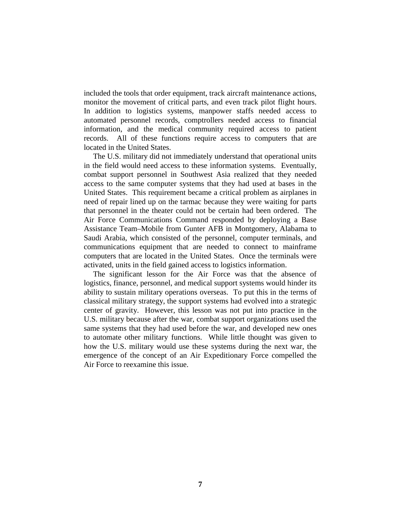included the tools that order equipment, track aircraft maintenance actions, monitor the movement of critical parts, and even track pilot flight hours. In addition to logistics systems, manpower staffs needed access to automated personnel records, comptrollers needed access to financial information, and the medical community required access to patient records. All of these functions require access to computers that are located in the United States.

The U.S. military did not immediately understand that operational units in the field would need access to these information systems. Eventually, combat support personnel in Southwest Asia realized that they needed access to the same computer systems that they had used at bases in the United States. This requirement became a critical problem as airplanes in need of repair lined up on the tarmac because they were waiting for parts that personnel in the theater could not be certain had been ordered. The Air Force Communications Command responded by deploying a Base Assistance Team–Mobile from Gunter AFB in Montgomery, Alabama to Saudi Arabia, which consisted of the personnel, computer terminals, and communications equipment that are needed to connect to mainframe computers that are located in the United States. Once the terminals were activated, units in the field gained access to logistics information.

The significant lesson for the Air Force was that the absence of logistics, finance, personnel, and medical support systems would hinder its ability to sustain military operations overseas. To put this in the terms of classical military strategy, the support systems had evolved into a strategic center of gravity. However, this lesson was not put into practice in the U.S. military because after the war, combat support organizations used the same systems that they had used before the war, and developed new ones to automate other military functions. While little thought was given to how the U.S. military would use these systems during the next war, the emergence of the concept of an Air Expeditionary Force compelled the Air Force to reexamine this issue.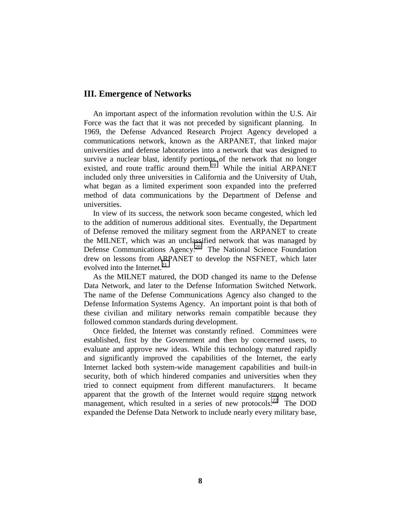#### **III. Emergence of Networks**

An important aspect of the information revolution within the U.S. Air Force was the fact that it was not preceded by significant planning. In 1969, the Defense Advanced Research Project Agency developed a communications network, known as the ARPANET, that linked major universities and defense laboratories into a network that was designed to survive a nuclear blast, identify portions of the network that no longer existed, and route traffic around them.<sup>19</sup> While the initial ARPANET included only three universities in California and the University of Utah, what began as a limited experiment soon expanded into the preferred method of data communications by the Department of Defense and universities.

In view of its success, the network soon became congested, which led to the addition of numerous additional sites. Eventually, the Department of Defense removed the military segment from the ARPANET to create the MILNET, which was an unclassified network that was managed by Defense Communications Agency.<sup>[20](#page-38-0)</sup> The National Science Foundation drew on lessons from ARPANET to develop the NSFNET, which later evolved into the Internet. $^{21}$ 

As the MILNET matured, the DOD changed its name to the Defense Data Network, and later to the Defense Information Switched Network. The name of the Defense Communications Agency also changed to the Defense Information Systems Agency. An important point is that both of these civilian and military networks remain compatible because they followed common standards during development.

Once fielded, the Internet was constantly refined. Committees were established, first by the Government and then by concerned users, to evaluate and approve new ideas. While this technology matured rapidly and significantly improved the capabilities of the Internet, the early Internet lacked both system-wide management capabilities and built-in security, both of which hindered companies and universities when they tried to connect equipment from different manufacturers. It became apparent that the growth of the Internet would require strong network management, which resulted in a series of new protocols.<sup>[22](#page-38-0)</sup> The DOD expanded the Defense Data Network to include nearly every military base,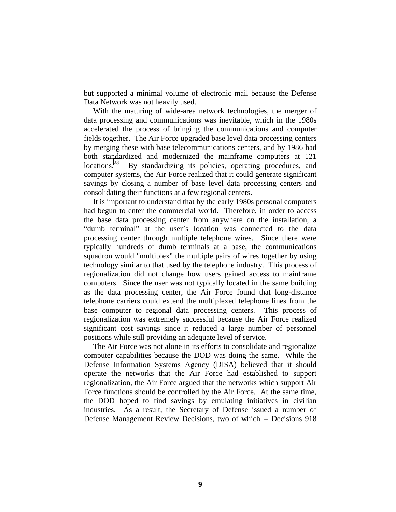but supported a minimal volume of electronic mail because the Defense Data Network was not heavily used.

With the maturing of wide-area network technologies, the merger of data processing and communications was inevitable, which in the 1980s accelerated the process of bringing the communications and computer fields together. The Air Force upgraded base level data processing centers by merging these with base telecommunications centers, and by 1986 had both standardized and modernized the mainframe computers at 121 locations.<sup>[23](#page-38-0)</sup> By standardizing its policies, operating procedures, and computer systems, the Air Force realized that it could generate significant savings by closing a number of base level data processing centers and consolidating their functions at a few regional centers.

It is important to understand that by the early 1980s personal computers had begun to enter the commercial world. Therefore, in order to access the base data processing center from anywhere on the installation, a "dumb terminal" at the user's location was connected to the data processing center through multiple telephone wires. Since there were typically hundreds of dumb terminals at a base, the communications squadron would "multiplex" the multiple pairs of wires together by using technology similar to that used by the telephone industry. This process of regionalization did not change how users gained access to mainframe computers. Since the user was not typically located in the same building as the data processing center, the Air Force found that long-distance telephone carriers could extend the multiplexed telephone lines from the base computer to regional data processing centers. This process of regionalization was extremely successful because the Air Force realized significant cost savings since it reduced a large number of personnel positions while still providing an adequate level of service.

Defense Management Review Decisions, two of which -- Decisions 918 The Air Force was not alone in its efforts to consolidate and regionalize computer capabilities because the DOD was doing the same. While the Defense Information Systems Agency (DISA) believed that it should operate the networks that the Air Force had established to support regionalization, the Air Force argued that the networks which support Air Force functions should be controlled by the Air Force. At the same time, the DOD hoped to find savings by emulating initiatives in civilian industries. As a result, the Secretary of Defense issued a number of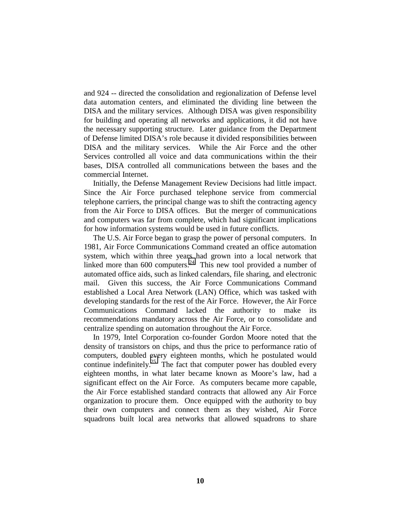and 924 -- directed the consolidation and regionalization of Defense level data automation centers, and eliminated the dividing line between the DISA and the military services. Although DISA was given responsibility for building and operating all networks and applications, it did not have the necessary supporting structure. Later guidance from the Department of Defense limited DISA's role because it divided responsibilities between DISA and the military services. While the Air Force and the other Services controlled all voice and data communications within the their bases, DISA controlled all communications between the bases and the commercial Internet.

Initially, the Defense Management Review Decisions had little impact. Since the Air Force purchased telephone service from commercial telephone carriers, the principal change was to shift the contracting agency from the Air Force to DISA offices. But the merger of communications and computers was far from complete, which had significant implications for how information systems would be used in future conflicts.

The U.S. Air Force began to grasp the power of personal computers. In 1981, Air Force Communications Command created an office automation system, which within three years had grown into a local network that linked more than  $600$  computers.<sup>24</sup> This new tool provided a number of automated office aids, such as linked calendars, file sharing, and electronic mail. Given this success, the Air Force Communications Command established a Local Area Network (LAN) Office, which was tasked with developing standards for the rest of the Air Force. However, the Air Force Communications Command lacked the authority to make its recommendations mandatory across the Air Force, or to consolidate and centralize spending on automation throughout the Air Force.

In 1979, Intel Corporation co-founder Gordon Moore noted that the density of transistors on chips, and thus the price to performance ratio of computers, doubled every eighteen months, which he postulated would continue indefinitely.<sup>[25](#page-38-0)</sup> The fact that computer power has doubled every eighteen months, in what later became known as Moore's law, had a significant effect on the Air Force. As computers became more capable, the Air Force established standard contracts that allowed any Air Force organization to procure them. Once equipped with the authority to buy their own computers and connect them as they wished, Air Force squadrons built local area networks that allowed squadrons to share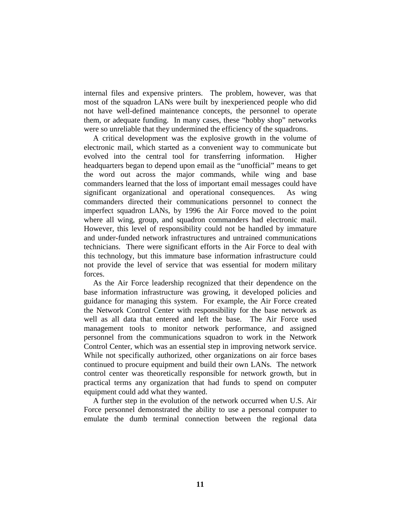internal files and expensive printers. The problem, however, was that most of the squadron LANs were built by inexperienced people who did not have well-defined maintenance concepts, the personnel to operate them, or adequate funding. In many cases, these "hobby shop" networks were so unreliable that they undermined the efficiency of the squadrons.

A critical development was the explosive growth in the volume of electronic mail, which started as a convenient way to communicate but evolved into the central tool for transferring information. Higher headquarters began to depend upon email as the "unofficial" means to get the word out across the major commands, while wing and base commanders learned that the loss of important email messages could have significant organizational and operational consequences. As wing commanders directed their communications personnel to connect the imperfect squadron LANs, by 1996 the Air Force moved to the point where all wing, group, and squadron commanders had electronic mail. However, this level of responsibility could not be handled by immature and under-funded network infrastructures and untrained communications technicians. There were significant efforts in the Air Force to deal with this technology, but this immature base information infrastructure could not provide the level of service that was essential for modern military forces.

As the Air Force leadership recognized that their dependence on the base information infrastructure was growing, it developed policies and guidance for managing this system. For example, the Air Force created the Network Control Center with responsibility for the base network as well as all data that entered and left the base. The Air Force used management tools to monitor network performance, and assigned personnel from the communications squadron to work in the Network Control Center, which was an essential step in improving network service. While not specifically authorized, other organizations on air force bases continued to procure equipment and build their own LANs. The network control center was theoretically responsible for network growth, but in practical terms any organization that had funds to spend on computer equipment could add what they wanted.

A further step in the evolution of the network occurred when U.S. Air Force personnel demonstrated the ability to use a personal computer to emulate the dumb terminal connection between the regional data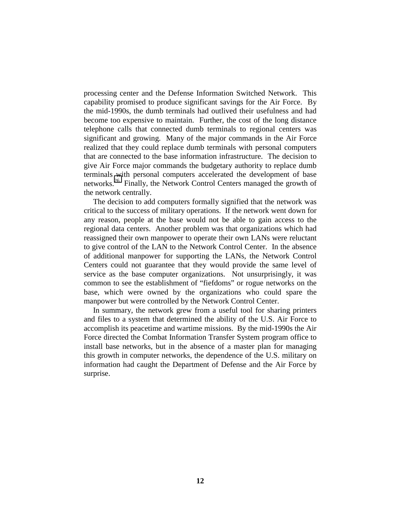processing center and the Defense Information Switched Network. This capability promised to produce significant savings for the Air Force. By the mid-1990s, the dumb terminals had outlived their usefulness and had become too expensive to maintain. Further, the cost of the long distance telephone calls that connected dumb terminals to regional centers was significant and growing. Many of the major commands in the Air Force realized that they could replace dumb terminals with personal computers that are connected to the base information infrastructure. The decision to give Air Force major commands the budgetary authority to replace dumb terminals with personal computers accelerated the development of base networks.[26](#page-38-0) Finally, the Network Control Centers managed the growth of the network centrally.

The decision to add computers formally signified that the network was critical to the success of military operations. If the network went down for any reason, people at the base would not be able to gain access to the regional data centers. Another problem was that organizations which had reassigned their own manpower to operate their own LANs were reluctant to give control of the LAN to the Network Control Center. In the absence of additional manpower for supporting the LANs, the Network Control Centers could not guarantee that they would provide the same level of service as the base computer organizations. Not unsurprisingly, it was common to see the establishment of "fiefdoms" or rogue networks on the base, which were owned by the organizations who could spare the manpower but were controlled by the Network Control Center.

In summary, the network grew from a useful tool for sharing printers and files to a system that determined the ability of the U.S. Air Force to accomplish its peacetime and wartime missions. By the mid-1990s the Air Force directed the Combat Information Transfer System program office to install base networks, but in the absence of a master plan for managing this growth in computer networks, the dependence of the U.S. military on information had caught the Department of Defense and the Air Force by surprise.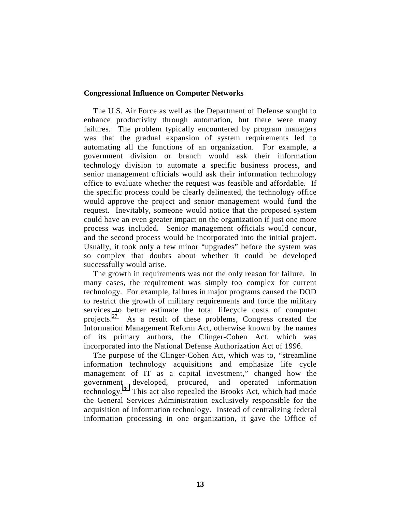#### **Congressional Influence on Computer Networks**

The U.S. Air Force as well as the Department of Defense sought to enhance productivity through automation, but there were many failures. The problem typically encountered by program managers was that the gradual expansion of system requirements led to automating all the functions of an organization. For example, a government division or branch would ask their information technology division to automate a specific business process, and senior management officials would ask their information technology office to evaluate whether the request was feasible and affordable. If the specific process could be clearly delineated, the technology office would approve the project and senior management would fund the request. Inevitably, someone would notice that the proposed system could have an even greater impact on the organization if just one more process was included. Senior management officials would concur, and the second process would be incorporated into the initial project. Usually, it took only a few minor "upgrades" before the system was so complex that doubts about whether it could be developed successfully would arise.

The growth in requirements was not the only reason for failure. In many cases, the requirement was simply too complex for current technology. For example, failures in major programs caused the DOD to restrict the growth of military requirements and force the military services to better estimate the total lifecycle costs of computer projects.<sup>[27](#page-38-0)</sup> As a result of these problems, Congress created the Information Management Reform Act, otherwise known by the names of its primary authors, the Clinger-Cohen Act, which was incorporated into the National Defense Authorization Act of 1996.

The purpose of the Clinger-Cohen Act, which was to, "streamline information technology acquisitions and emphasize life cycle management of IT as a capital investment," changed how the government developed, procured, and operated information technology. [28](#page-38-0) This act also repealed the Brooks Act, which had made the General Services Administration exclusively responsible for the acquisition of information technology. Instead of centralizing federal information processing in one organization, it gave the Office of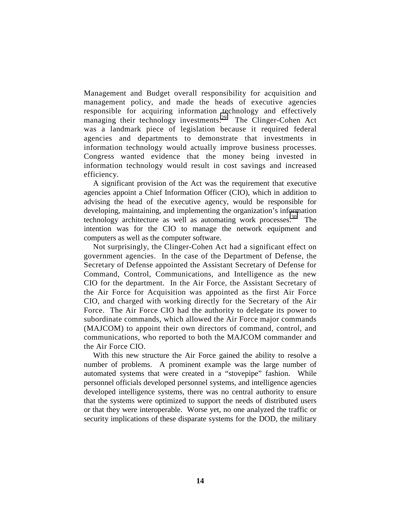Management and Budget overall responsibility for acquisition and management policy, and made the heads of executive agencies responsible for acquiring information technology and effectively managing their technology investments.<sup>[29](#page-38-0)</sup> The Clinger-Cohen Act was a landmark piece of legislation because it required federal agencies and departments to demonstrate that investments in information technology would actually improve business processes. Congress wanted evidence that the money being invested in information technology would result in cost savings and increased efficiency.

A significant provision of the Act was the requirement that executive agencies appoint a Chief Information Officer (CIO), which in addition to advising the head of the executive agency, would be responsible for developing, maintaining, and implementing the organization's information technology architecture as well as automating work processes. $30$  The intention was for the CIO to manage the network equipment and computers as well as the computer software.

Not surprisingly, the Clinger-Cohen Act had a significant effect on government agencies. In the case of the Department of Defense, the Secretary of Defense appointed the Assistant Secretary of Defense for Command, Control, Communications, and Intelligence as the new CIO for the department. In the Air Force, the Assistant Secretary of the Air Force for Acquisition was appointed as the first Air Force CIO, and charged with working directly for the Secretary of the Air Force. The Air Force CIO had the authority to delegate its power to subordinate commands, which allowed the Air Force major commands (MAJCOM) to appoint their own directors of command, control, and communications, who reported to both the MAJCOM commander and the Air Force CIO.

With this new structure the Air Force gained the ability to resolve a number of problems. A prominent example was the large number of automated systems that were created in a "stovepipe" fashion. While personnel officials developed personnel systems, and intelligence agencies developed intelligence systems, there was no central authority to ensure that the systems were optimized to support the needs of distributed users or that they were interoperable. Worse yet, no one analyzed the traffic or security implications of these disparate systems for the DOD, the military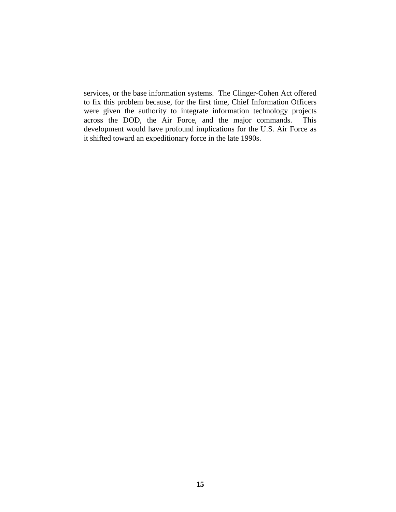services, or the base information systems. The Clinger-Cohen Act offered to fix this problem because, for the first time, Chief Information Officers were given the authority to integrate information technology projects across the DOD, the Air Force, and the major commands. This development would have profound implications for the U.S. Air Force as it shifted toward an expeditionary force in the late 1990s.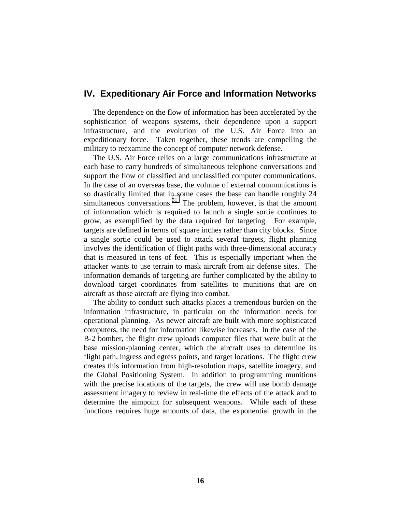### **IV. Expeditionary Air Force and Information Networks**

The dependence on the flow of information has been accelerated by the sophistication of weapons systems, their dependence upon a support infrastructure, and the evolution of the U.S. Air Force into an expeditionary force. Taken together, these trends are compelling the military to reexamine the concept of computer network defense.

The U.S. Air Force relies on a large communications infrastructure at each base to carry hundreds of simultaneous telephone conversations and support the flow of classified and unclassified computer communications. In the case of an overseas base, the volume of external communications is so drastically limited that in some cases the base can handle roughly 24 simultaneous conversations. $31$  The problem, however, is that the amount of information which is required to launch a single sortie continues to grow, as exemplified by the data required for targeting. For example, targets are defined in terms of square inches rather than city blocks. Since a single sortie could be used to attack several targets, flight planning involves the identification of flight paths with three-dimensional accuracy that is measured in tens of feet. This is especially important when the attacker wants to use terrain to mask aircraft from air defense sites. The information demands of targeting are further complicated by the ability to download target coordinates from satellites to munitions that are on aircraft as those aircraft are flying into combat.

The ability to conduct such attacks places a tremendous burden on the information infrastructure, in particular on the information needs for operational planning. As newer aircraft are built with more sophisticated computers, the need for information likewise increases. In the case of the B-2 bomber, the flight crew uploads computer files that were built at the base mission-planning center, which the aircraft uses to determine its flight path, ingress and egress points, and target locations. The flight crew creates this information from high-resolution maps, satellite imagery, and the Global Positioning System. In addition to programming munitions with the precise locations of the targets, the crew will use bomb damage assessment imagery to review in real-time the effects of the attack and to determine the aimpoint for subsequent weapons. While each of these functions requires huge amounts of data, the exponential growth in the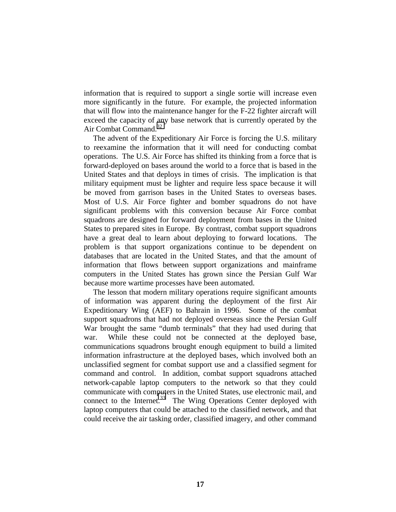information that is required to support a single sortie will increase even more significantly in the future. For example, the projected information that will flow into the maintenance hanger for the F-22 fighter aircraft will exceed the capacity of any base network that is currently operated by the Air Combat Command.<sup>32</sup>

The advent of the Expeditionary Air Force is forcing the U.S. military to reexamine the information that it will need for conducting combat operations. The U.S. Air Force has shifted its thinking from a force that is forward-deployed on bases around the world to a force that is based in the United States and that deploys in times of crisis. The implication is that military equipment must be lighter and require less space because it will be moved from garrison bases in the United States to overseas bases. Most of U.S. Air Force fighter and bomber squadrons do not have significant problems with this conversion because Air Force combat squadrons are designed for forward deployment from bases in the United States to prepared sites in Europe. By contrast, combat support squadrons have a great deal to learn about deploying to forward locations. The problem is that support organizations continue to be dependent on databases that are located in the United States, and that the amount of information that flows between support organizations and mainframe computers in the United States has grown since the Persian Gulf War because more wartime processes have been automated.

The lesson that modern military operations require significant amounts of information was apparent during the deployment of the first Air Expeditionary Wing (AEF) to Bahrain in 1996. Some of the combat support squadrons that had not deployed overseas since the Persian Gulf War brought the same "dumb terminals" that they had used during that war. While these could not be connected at the deployed base, communications squadrons brought enough equipment to build a limited information infrastructure at the deployed bases, which involved both an unclassified segment for combat support use and a classified segment for command and control. In addition, combat support squadrons attached network-capable laptop computers to the network so that they could communicate with computers in the United States, use electronic mail, and connect to the Internet.<sup>[33](#page-38-0)</sup> The Wing Operations Center deployed with laptop computers that could be attached to the classified network, and that could receive the air tasking order, classified imagery, and other command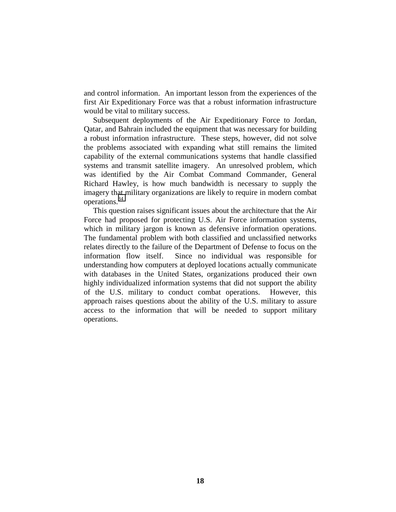and control information. An important lesson from the experiences of the first Air Expeditionary Force was that a robust information infrastructure would be vital to military success.

Subsequent deployments of the Air Expeditionary Force to Jordan, Qatar, and Bahrain included the equipment that was necessary for building a robust information infrastructure. These steps, however, did not solve the problems associated with expanding what still remains the limited capability of the external communications systems that handle classified systems and transmit satellite imagery. An unresolved problem, which was identified by the Air Combat Command Commander, General Richard Hawley, is how much bandwidth is necessary to supply the imagery that military organizations are likely to require in modern combat operations.[34](#page-38-0) 

This question raises significant issues about the architecture that the Air Force had proposed for protecting U.S. Air Force information systems, which in military jargon is known as defensive information operations. The fundamental problem with both classified and unclassified networks relates directly to the failure of the Department of Defense to focus on the information flow itself. Since no individual was responsible for understanding how computers at deployed locations actually communicate with databases in the United States, organizations produced their own highly individualized information systems that did not support the ability of the U.S. military to conduct combat operations. However, this approach raises questions about the ability of the U.S. military to assure access to the information that will be needed to support military operations.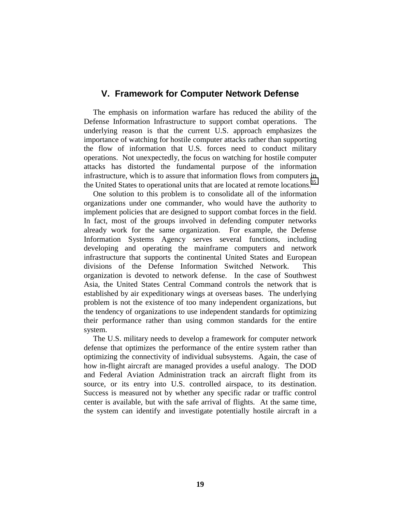#### **V. Framework for Computer Network Defense**

The emphasis on information warfare has reduced the ability of the Defense Information Infrastructure to support combat operations. The underlying reason is that the current U.S. approach emphasizes the importance of watching for hostile computer attacks rather than supporting the flow of information that U.S. forces need to conduct military operations. Not unexpectedly, the focus on watching for hostile computer attacks has distorted the fundamental purpose of the information infrastructure, which is to assure that information flows from computers in the United States to operational units that are located at remote locations.<sup>35</sup>

One solution to this problem is to consolidate all of the information organizations under one commander, who would have the authority to implement policies that are designed to support combat forces in the field. In fact, most of the groups involved in defending computer networks already work for the same organization. For example, the Defense Information Systems Agency serves several functions, including developing and operating the mainframe computers and network infrastructure that supports the continental United States and European divisions of the Defense Information Switched Network. This organization is devoted to network defense. In the case of Southwest Asia, the United States Central Command controls the network that is established by air expeditionary wings at overseas bases. The underlying problem is not the existence of too many independent organizations, but the tendency of organizations to use independent standards for optimizing their performance rather than using common standards for the entire system.

The U.S. military needs to develop a framework for computer network defense that optimizes the performance of the entire system rather than optimizing the connectivity of individual subsystems. Again, the case of how in-flight aircraft are managed provides a useful analogy. The DOD and Federal Aviation Administration track an aircraft flight from its source, or its entry into U.S. controlled airspace, to its destination. Success is measured not by whether any specific radar or traffic control center is available, but with the safe arrival of flights. At the same time, the system can identify and investigate potentially hostile aircraft in a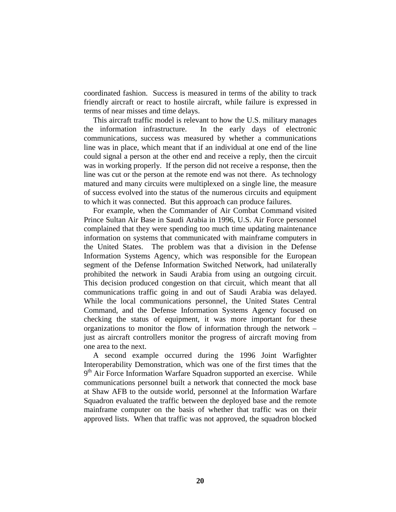coordinated fashion. Success is measured in terms of the ability to track friendly aircraft or react to hostile aircraft, while failure is expressed in terms of near misses and time delays.

This aircraft traffic model is relevant to how the U.S. military manages the information infrastructure. In the early days of electronic communications, success was measured by whether a communications line was in place, which meant that if an individual at one end of the line could signal a person at the other end and receive a reply, then the circuit was in working properly. If the person did not receive a response, then the line was cut or the person at the remote end was not there. As technology matured and many circuits were multiplexed on a single line, the measure of success evolved into the status of the numerous circuits and equipment to which it was connected. But this approach can produce failures.

For example, when the Commander of Air Combat Command visited Prince Sultan Air Base in Saudi Arabia in 1996, U.S. Air Force personnel complained that they were spending too much time updating maintenance information on systems that communicated with mainframe computers in the United States. The problem was that a division in the Defense Information Systems Agency, which was responsible for the European segment of the Defense Information Switched Network, had unilaterally prohibited the network in Saudi Arabia from using an outgoing circuit. This decision produced congestion on that circuit, which meant that all communications traffic going in and out of Saudi Arabia was delayed. While the local communications personnel, the United States Central Command, and the Defense Information Systems Agency focused on checking the status of equipment, it was more important for these organizations to monitor the flow of information through the network – just as aircraft controllers monitor the progress of aircraft moving from one area to the next.

A second example occurred during the 1996 Joint Warfighter Interoperability Demonstration, which was one of the first times that the  $9<sup>th</sup>$  Air Force Information Warfare Squadron supported an exercise. While communications personnel built a network that connected the mock base at Shaw AFB to the outside world, personnel at the Information Warfare Squadron evaluated the traffic between the deployed base and the remote mainframe computer on the basis of whether that traffic was on their approved lists. When that traffic was not approved, the squadron blocked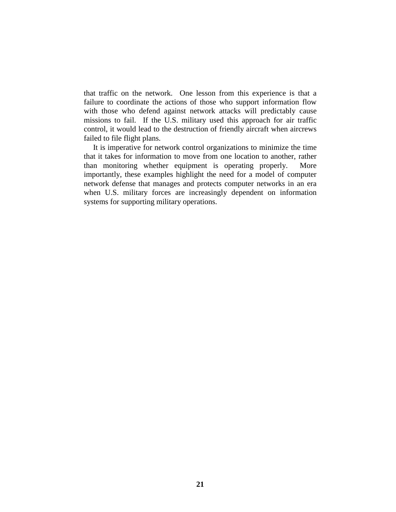that traffic on the network. One lesson from this experience is that a failure to coordinate the actions of those who support information flow with those who defend against network attacks will predictably cause missions to fail. If the U.S. military used this approach for air traffic control, it would lead to the destruction of friendly aircraft when aircrews failed to file flight plans.

It is imperative for network control organizations to minimize the time that it takes for information to move from one location to another, rather than monitoring whether equipment is operating properly. More importantly, these examples highlight the need for a model of computer network defense that manages and protects computer networks in an era when U.S. military forces are increasingly dependent on information systems for supporting military operations.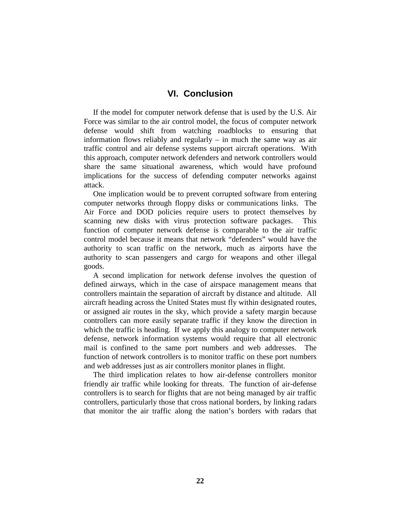#### **VI. Conclusion**

If the model for computer network defense that is used by the U.S. Air Force was similar to the air control model, the focus of computer network defense would shift from watching roadblocks to ensuring that information flows reliably and regularly – in much the same way as air traffic control and air defense systems support aircraft operations. With this approach, computer network defenders and network controllers would share the same situational awareness, which would have profound implications for the success of defending computer networks against attack.

One implication would be to prevent corrupted software from entering computer networks through floppy disks or communications links. The Air Force and DOD policies require users to protect themselves by scanning new disks with virus protection software packages. This function of computer network defense is comparable to the air traffic control model because it means that network "defenders" would have the authority to scan traffic on the network, much as airports have the authority to scan passengers and cargo for weapons and other illegal goods.

A second implication for network defense involves the question of defined airways, which in the case of airspace management means that controllers maintain the separation of aircraft by distance and altitude. All aircraft heading across the United States must fly within designated routes, or assigned air routes in the sky, which provide a safety margin because controllers can more easily separate traffic if they know the direction in which the traffic is heading. If we apply this analogy to computer network defense, network information systems would require that all electronic mail is confined to the same port numbers and web addresses. The function of network controllers is to monitor traffic on these port numbers and web addresses just as air controllers monitor planes in flight.

The third implication relates to how air-defense controllers monitor friendly air traffic while looking for threats. The function of air-defense controllers is to search for flights that are not being managed by air traffic controllers, particularly those that cross national borders, by linking radars that monitor the air traffic along the nation's borders with radars that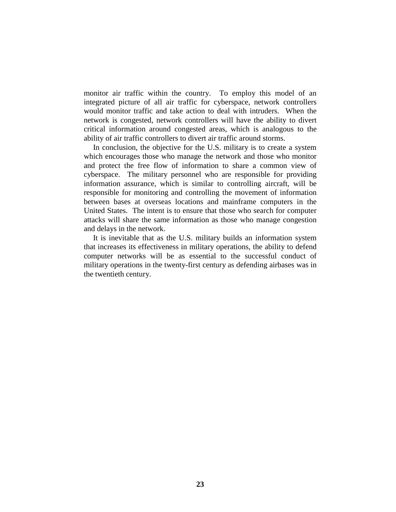monitor air traffic within the country. To employ this model of an integrated picture of all air traffic for cyberspace, network controllers would monitor traffic and take action to deal with intruders. When the network is congested, network controllers will have the ability to divert critical information around congested areas, which is analogous to the ability of air traffic controllers to divert air traffic around storms.

In conclusion, the objective for the U.S. military is to create a system which encourages those who manage the network and those who monitor and protect the free flow of information to share a common view of cyberspace. The military personnel who are responsible for providing information assurance, which is similar to controlling aircraft, will be responsible for monitoring and controlling the movement of information between bases at overseas locations and mainframe computers in the United States. The intent is to ensure that those who search for computer attacks will share the same information as those who manage congestion and delays in the network.

It is inevitable that as the U.S. military builds an information system that increases its effectiveness in military operations, the ability to defend computer networks will be as essential to the successful conduct of military operations in the twenty-first century as defending airbases was in the twentieth century.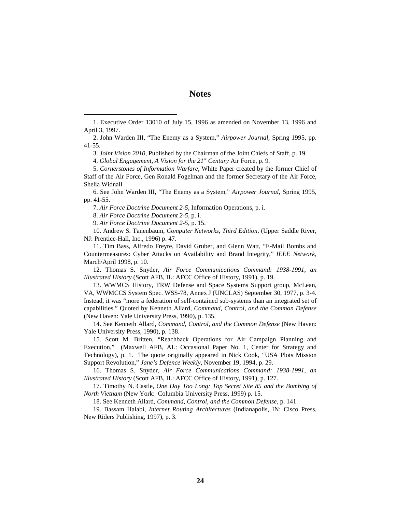#### **Notes**

3. *Joint Vision 2010*, Published by the Chairman of the Joint Chiefs of Staff, p. 19.

4. *Global Engagement, A Vision for the 21st Century* Air Force, p. 9.

5. *Cornerstones of Information Warfare*, White Paper created by the former Chief of Staff of the Air Force, Gen Ronald Fogelman and the former Secretary of the Air Force, Shelia Widnall

6. See John Warden III, "The Enemy as a System," *Airpower Journal,* Spring 1995, pp. 41-55.

7. *Air Force Doctrine Document 2-5*, Information Operations, p. i.

8. *Air Force Doctrine Document 2-5*, p. i.

9. *Air Force Doctrine Document 2-5*, p. 15.

10. Andrew S. Tanenbaum, *Computer Networks, Third Edition*, (Upper Saddle River, NJ: Prentice-Hall, Inc., 1996) p. 47.

11. Tim Bass, Alfredo Freyre, David Gruber, and Glenn Watt, "E-Mail Bombs and Countermeasures: Cyber Attacks on Availability and Brand Integrity," *IEEE Network*, March/April 1998, p. 10.

12. Thomas S. Snyder, *Air Force Communications Command: 1938-1991, an Illustrated History* (Scott AFB, IL: AFCC Office of History, 1991), p. 19.

13. WWMCS History, TRW Defense and Space Systems Support group, McLean, VA, WWMCCS System Spec. WSS-78, Annex J (UNCLAS) September 30, 1977, p. 3-4. Instead, it was "more a federation of self-contained sub-systems than an integrated set of capabilities." Quoted by Kenneth Allard, *Command, Control, and the Common Defense*  (New Haven: Yale University Press, 1990), p. 135.

14. See Kenneth Allard, *Command, Control, and the Common Defense* (New Haven: Yale University Press, 1990), p. 138.

15. Scott M. Britten, "Reachback Operations for Air Campaign Planning and Execution," (Maxwell AFB, AL: Occasional Paper No. 1, Center for Strategy and Technology), p. 1. The quote originally appeared in Nick Cook, "USA Plots Mission Support Revolution," *Jane's Defence Weekly*, November 19, 1994, p. 29.

16. Thomas S. Snyder, *Air Force Communications Command: 1938-1991, an Illustrated History* (Scott AFB, IL: AFCC Office of History, 1991), p. 127.

17. Timothy N. Castle, *One Day Too Long: Top Secret Site 85 and the Bombing of North Vietnam* (New York: Columbia University Press, 1999) p. 15.

18. See Kenneth Allard, *Command, Control, and the Common Defense,* p. 141.

19. Bassam Halabi, *Internet Routing Architectures* (Indianapolis, IN: Cisco Press, New Riders Publishing, 1997), p. 3.

<sup>1.</sup> Executive Order 13010 of July 15, 1996 as amended on November 13, 1996 and April 3, 1997.

<sup>2.</sup> John Warden III, "The Enemy as a System," *Airpower Journal,* Spring 1995, pp. 41-55.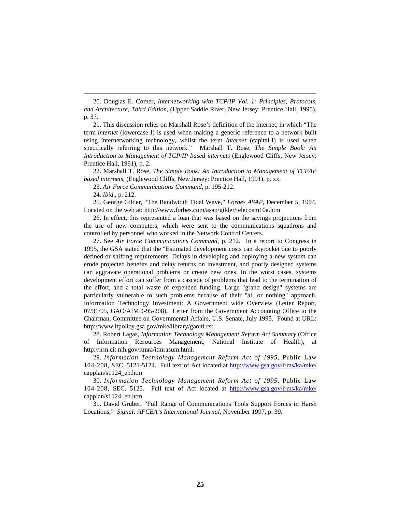20. Douglas E. Comer, *Internetworking with TCP/IP Vol. 1: Principles, Protocols, and Architecture, Third Edition*, (Upper Saddle River, New Jersey: Prentice Hall, 1995), p. 37.

21. This discussion relies on Marshall Rose's definition of the Internet, in which "The term *internet* (lowercase-I) is used when making a generic reference to a network built using internetworking technology, whilst the term *Internet* (capital-I) is used when specifically referring to this network." Marshall T. Rose, *The Simple Book: An Introduction to Management of TCP/IP based internets* (Englewood Cliffs, New Jersey: Prentice Hall, 1991), p. 2.

22. Marshall T. Rose, *The Simple Book: An Introduction to Management of TCP/IP based internets*, (Englewood Cliffs, New Jersey: Prentice Hall, 1991), p. xx.

23. *Air Force Communications Command*, p. 195-212.

24. *Ibid*., p. 212.

25. George Gilder, "The Bandwidth Tidal Wave," *Forbes ASAP*, December 5, 1994. Located on the web at: http://www.forbes.com/asap/gilder/telecosm10a.htm

26. In effect, this represented a loan that was based on the savings projections from the use of new computers, which were sent to the communications squadrons and controlled by personnel who worked in the Network Control Centers.

27. See *Air Force Communications Command,* p. 212. In a report to Congress in 1995, the GSA stated that the "Estimated development costs can skyrocket due to poorly defined or shifting requirements. Delays in developing and deploying a new system can erode projected benefits and delay returns on investment, and poorly designed systems can aggravate operational problems or create new ones. In the worst cases, systems development effort can suffer from a cascade of problems that lead to the termination of the effort, and a total waste of expended funding. Large "grand design" systems are particularly vulnerable to such problems because of their "all or nothing" approach. Information Technology Investment: A Government wide Overview (Letter Report, 07/31/95, GAO/AIMD-95-208). Letter from the Government Accounting Office to the Chairman, Committee on Governmental Affairs, U.S. Senate, July 1995. Found at URL: http://www.itpolicy.gsa.gov/mke/library/gaoiti.txt.

28. Robert Lagas, *Information Technology Management Reform Act Summary* (Office of Information Resources Management, National Institute of Health), at http://irm.cit.nih.gov/itmra/itmrasum.html.

29. *Information Technology Management Reform Act of 1995*, Public Law 104-208, SEC. 5121-5124. Full text of Act located at http://www.gsa.gov/irms/ka/mke/ capplan/s1124\_en.htm

30. *Information Technology Management Reform Act of 1995*, Public Law 104-208, SEC. 5125. Full text of Act located at http://www.gsa.gov/irms/ka/mke/ capplan/s1124\_en.htm

31. David Gruber, "Full Range of Communications Tools Support Forces in Harsh Locations," *Signal: AFCEA's International Journal*, November 1997, p. 39.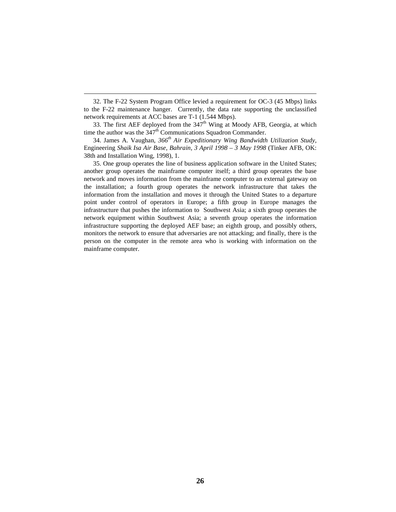<span id="page-38-0"></span>32. The F-22 System Program Office levied a requirement for OC-3 (45 Mbps) links to the F-22 maintenance hanger. Currently, the data rate supporting the unclassified network requirements at ACC bases are T-1 (1.544 Mbps).

33. The first AEF deployed from the  $347<sup>th</sup>$  Wing at Moody AFB, Georgia, at which time the author was the  $347<sup>th</sup>$  Communications Squadron Commander.

34. James A. Vaughan, *366th Air Expeditionary Wing Bandwidth Utilization Study,*  Engineering *Shaik Isa Air Base, Bahrain, 3 April 1998 – 3 May 1998* (Tinker AFB, OK: 38th and Installation Wing, 1998), 1.

35. One group operates the line of business application software in the United States; another group operates the mainframe computer itself; a third group operates the base network and moves information from the mainframe computer to an external gateway on the installation; a fourth group operates the network infrastructure that takes the information from the installation and moves it through the United States to a departure point under control of operators in Europe; a fifth group in Europe manages the infrastructure that pushes the information to Southwest Asia; a sixth group operates the network equipment within Southwest Asia; a seventh group operates the information infrastructure supporting the deployed AEF base; an eighth group, and possibly others, monitors the network to ensure that adversaries are not attacking; and finally, there is the person on the computer in the remote area who is working with information on the mainframe computer.